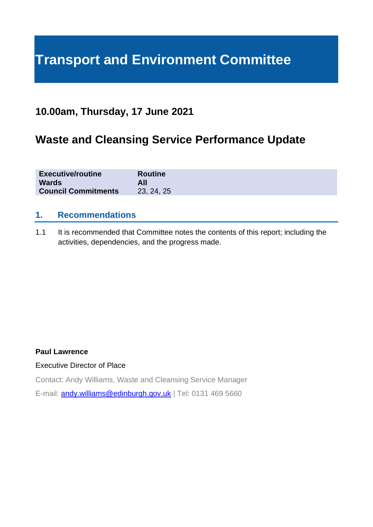# **Transport and Environment Committee**

# **10.00am, Thursday, 17 June 2021**

# **Waste and Cleansing Service Performance Update**

| <b>Executive/routine</b>   | <b>Routine</b> |
|----------------------------|----------------|
| <b>Wards</b>               |                |
| <b>Council Commitments</b> | 23, 24, 25     |

### **1. Recommendations**

1.1 It is recommended that Committee notes the contents of this report; including the activities, dependencies, and the progress made.

#### **Paul Lawrence**

#### Executive Director of Place

Contact: Andy Williams, Waste and Cleansing Service Manager

E-mail: [andy.williams@edinburgh.gov.uk](mailto:andy.williams@edinburgh.gov.uk) | Tel: 0131 469 5660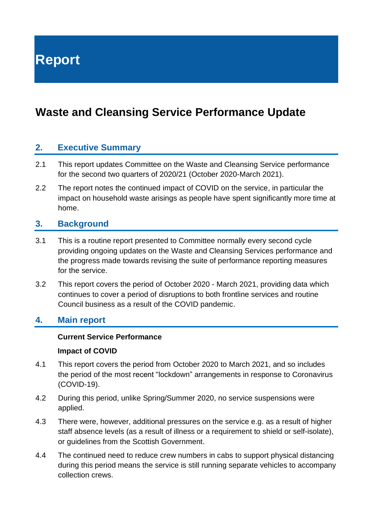**Report**

# **Waste and Cleansing Service Performance Update**

### **2. Executive Summary**

- 2.1 This report updates Committee on the Waste and Cleansing Service performance for the second two quarters of 2020/21 (October 2020-March 2021).
- 2.2 The report notes the continued impact of COVID on the service, in particular the impact on household waste arisings as people have spent significantly more time at home.

### **3. Background**

- 3.1 This is a routine report presented to Committee normally every second cycle providing ongoing updates on the Waste and Cleansing Services performance and the progress made towards revising the suite of performance reporting measures for the service.
- 3.2 This report covers the period of October 2020 March 2021, providing data which continues to cover a period of disruptions to both frontline services and routine Council business as a result of the COVID pandemic.

### **4. Main report**

#### **Current Service Performance**

#### **Impact of COVID**

- 4.1 This report covers the period from October 2020 to March 2021, and so includes the period of the most recent "lockdown" arrangements in response to Coronavirus (COVID-19).
- 4.2 During this period, unlike Spring/Summer 2020, no service suspensions were applied.
- 4.3 There were, however, additional pressures on the service e.g. as a result of higher staff absence levels (as a result of illness or a requirement to shield or self-isolate), or guidelines from the Scottish Government.
- 4.4 The continued need to reduce crew numbers in cabs to support physical distancing during this period means the service is still running separate vehicles to accompany collection crews.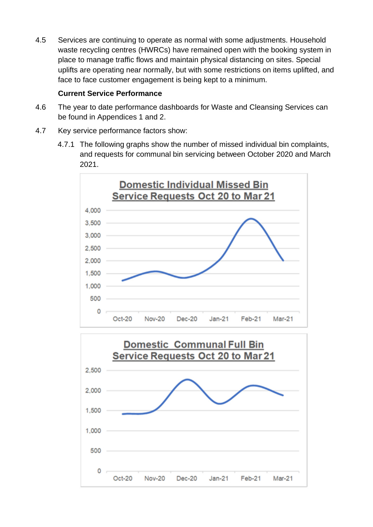4.5 Services are continuing to operate as normal with some adjustments. Household waste recycling centres (HWRCs) have remained open with the booking system in place to manage traffic flows and maintain physical distancing on sites. Special uplifts are operating near normally, but with some restrictions on items uplifted, and face to face customer engagement is being kept to a minimum.

#### **Current Service Performance**

- 4.6 The year to date performance dashboards for Waste and Cleansing Services can be found in Appendices 1 and 2.
- 4.7 Key service performance factors show:
	- 4.7.1 The following graphs show the number of missed individual bin complaints, and requests for communal bin servicing between October 2020 and March 2021.



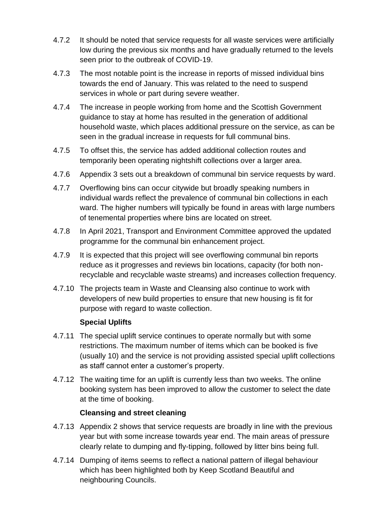- 4.7.2 It should be noted that service requests for all waste services were artificially low during the previous six months and have gradually returned to the levels seen prior to the outbreak of COVID-19.
- 4.7.3 The most notable point is the increase in reports of missed individual bins towards the end of January. This was related to the need to suspend services in whole or part during severe weather.
- 4.7.4 The increase in people working from home and the Scottish Government guidance to stay at home has resulted in the generation of additional household waste, which places additional pressure on the service, as can be seen in the gradual increase in requests for full communal bins.
- 4.7.5 To offset this, the service has added additional collection routes and temporarily been operating nightshift collections over a larger area.
- 4.7.6 Appendix 3 sets out a breakdown of communal bin service requests by ward.
- 4.7.7 Overflowing bins can occur citywide but broadly speaking numbers in individual wards reflect the prevalence of communal bin collections in each ward. The higher numbers will typically be found in areas with large numbers of tenemental properties where bins are located on street.
- 4.7.8 In [April 2021,](https://democracy.edinburgh.gov.uk/documents/s33318/7.7%20-%20Communal%20Bin%20Review%20Update.pdf) Transport and Environment Committee approved the updated programme for the communal bin enhancement project.
- 4.7.9 It is expected that this project will see overflowing communal bin reports reduce as it progresses and reviews bin locations, capacity (for both nonrecyclable and recyclable waste streams) and increases collection frequency.
- 4.7.10 The projects team in Waste and Cleansing also continue to work with developers of new build properties to ensure that new housing is fit for purpose with regard to waste collection.

### **Special Uplifts**

- 4.7.11 The special uplift service continues to operate normally but with some restrictions. The maximum number of items which can be booked is five (usually 10) and the service is not providing assisted special uplift collections as staff cannot enter a customer's property.
- 4.7.12 The waiting time for an uplift is currently less than two weeks. The online booking system has been improved to allow the customer to select the date at the time of booking.

#### **Cleansing and street cleaning**

- 4.7.13 Appendix 2 shows that service requests are broadly in line with the previous year but with some increase towards year end. The main areas of pressure clearly relate to dumping and fly-tipping, followed by litter bins being full.
- 4.7.14 Dumping of items seems to reflect a national pattern of illegal behaviour which has been highlighted both by Keep Scotland Beautiful and neighbouring Councils.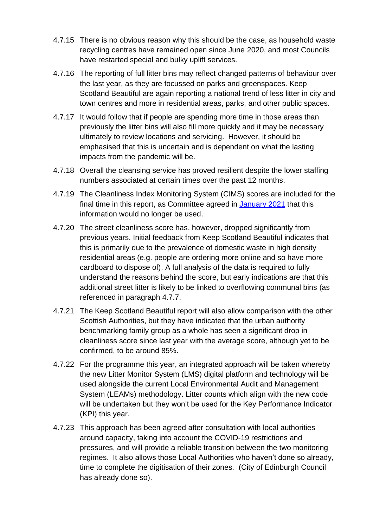- 4.7.15 There is no obvious reason why this should be the case, as household waste recycling centres have remained open since June 2020, and most Councils have restarted special and bulky uplift services.
- 4.7.16 The reporting of full litter bins may reflect changed patterns of behaviour over the last year, as they are focussed on parks and greenspaces. Keep Scotland Beautiful are again reporting a national trend of less litter in city and town centres and more in residential areas, parks, and other public spaces.
- 4.7.17 It would follow that if people are spending more time in those areas than previously the litter bins will also fill more quickly and it may be necessary ultimately to review locations and servicing. However, it should be emphasised that this is uncertain and is dependent on what the lasting impacts from the pandemic will be.
- 4.7.18 Overall the cleansing service has proved resilient despite the lower staffing numbers associated at certain times over the past 12 months.
- 4.7.19 The Cleanliness Index Monitoring System (CIMS) scores are included for the final time in this report, as Committee agreed in [January 2021](https://democracy.edinburgh.gov.uk/ieListDocuments.aspx?CId=136&MId=5661&Ver=4) that this information would no longer be used.
- 4.7.20 The street cleanliness score has, however, dropped significantly from previous years. Initial feedback from Keep Scotland Beautiful indicates that this is primarily due to the prevalence of domestic waste in high density residential areas (e.g. people are ordering more online and so have more cardboard to dispose of). A full analysis of the data is required to fully understand the reasons behind the score, but early indications are that this additional street litter is likely to be linked to overflowing communal bins (as referenced in paragraph 4.7.7.
- 4.7.21 The Keep Scotland Beautiful report will also allow comparison with the other Scottish Authorities, but they have indicated that the urban authority benchmarking family group as a whole has seen a significant drop in cleanliness score since last year with the average score, although yet to be confirmed, to be around 85%.
- 4.7.22 For the programme this year, an integrated approach will be taken whereby the new Litter Monitor System (LMS) digital platform and technology will be used alongside the current Local Environmental Audit and Management System (LEAMs) methodology. Litter counts which align with the new code will be undertaken but they won't be used for the Key Performance Indicator (KPI) this year.
- 4.7.23 This approach has been agreed after consultation with local authorities around capacity, taking into account the COVID-19 restrictions and pressures, and will provide a reliable transition between the two monitoring regimes. It also allows those Local Authorities who haven't done so already, time to complete the digitisation of their zones. (City of Edinburgh Council has already done so).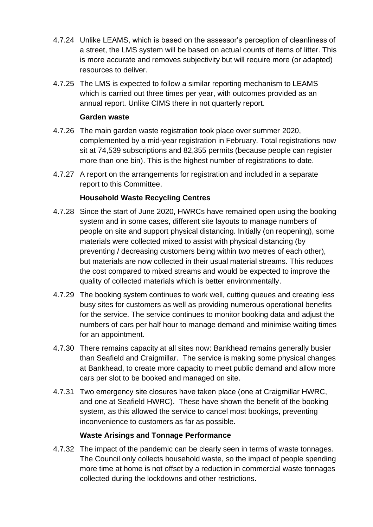- 4.7.24 Unlike LEAMS, which is based on the assessor's perception of cleanliness of a street, the LMS system will be based on actual counts of items of litter. This is more accurate and removes subjectivity but will require more (or adapted) resources to deliver.
- 4.7.25 The LMS is expected to follow a similar reporting mechanism to LEAMS which is carried out three times per year, with outcomes provided as an annual report. Unlike CIMS there in not quarterly report.

#### **Garden waste**

- 4.7.26 The main garden waste registration took place over summer 2020, complemented by a mid-year registration in February. Total registrations now sit at 74,539 subscriptions and 82,355 permits (because people can register more than one bin). This is the highest number of registrations to date.
- 4.7.27 A report on the arrangements for registration and included in a separate report to this Committee.

#### **Household Waste Recycling Centres**

- 4.7.28 Since the start of June 2020, HWRCs have remained open using the booking system and in some cases, different site layouts to manage numbers of people on site and support physical distancing. Initially (on reopening), some materials were collected mixed to assist with physical distancing (by preventing / decreasing customers being within two metres of each other), but materials are now collected in their usual material streams. This reduces the cost compared to mixed streams and would be expected to improve the quality of collected materials which is better environmentally.
- 4.7.29 The booking system continues to work well, cutting queues and creating less busy sites for customers as well as providing numerous operational benefits for the service. The service continues to monitor booking data and adjust the numbers of cars per half hour to manage demand and minimise waiting times for an appointment.
- 4.7.30 There remains capacity at all sites now: Bankhead remains generally busier than Seafield and Craigmillar. The service is making some physical changes at Bankhead, to create more capacity to meet public demand and allow more cars per slot to be booked and managed on site.
- 4.7.31 Two emergency site closures have taken place (one at Craigmillar HWRC, and one at Seafield HWRC). These have shown the benefit of the booking system, as this allowed the service to cancel most bookings, preventing inconvenience to customers as far as possible.

#### **Waste Arisings and Tonnage Performance**

4.7.32 The impact of the pandemic can be clearly seen in terms of waste tonnages. The Council only collects household waste, so the impact of people spending more time at home is not offset by a reduction in commercial waste tonnages collected during the lockdowns and other restrictions.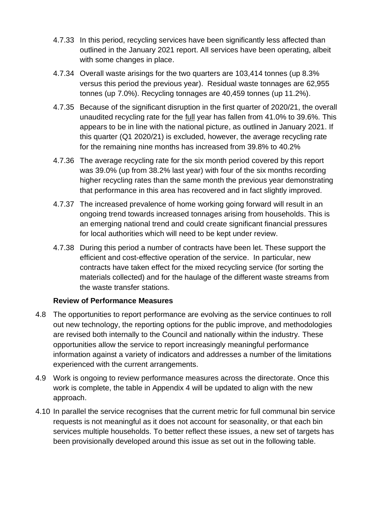- 4.7.33 In this period, recycling services have been significantly less affected than outlined in the January 2021 report. All services have been operating, albeit with some changes in place.
- 4.7.34 Overall waste arisings for the two quarters are 103,414 tonnes (up 8.3% versus this period the previous year). Residual waste tonnages are 62,955 tonnes (up 7.0%). Recycling tonnages are 40,459 tonnes (up 11.2%).
- 4.7.35 Because of the significant disruption in the first quarter of 2020/21, the overall unaudited recycling rate for the full year has fallen from 41.0% to 39.6%. This appears to be in line with the national picture, as outlined in January 2021. If this quarter (Q1 2020/21) is excluded, however, the average recycling rate for the remaining nine months has increased from 39.8% to 40.2%
- 4.7.36 The average recycling rate for the six month period covered by this report was 39.0% (up from 38.2% last year) with four of the six months recording higher recycling rates than the same month the previous year demonstrating that performance in this area has recovered and in fact slightly improved.
- 4.7.37 The increased prevalence of home working going forward will result in an ongoing trend towards increased tonnages arising from households. This is an emerging national trend and could create significant financial pressures for local authorities which will need to be kept under review.
- 4.7.38 During this period a number of contracts have been let. These support the efficient and cost-effective operation of the service. In particular, new contracts have taken effect for the mixed recycling service (for sorting the materials collected) and for the haulage of the different waste streams from the waste transfer stations.

#### **Review of Performance Measures**

- 4.8 The opportunities to report performance are evolving as the service continues to roll out new technology, the reporting options for the public improve, and methodologies are revised both internally to the Council and nationally within the industry. These opportunities allow the service to report increasingly meaningful performance information against a variety of indicators and addresses a number of the limitations experienced with the current arrangements.
- 4.9 Work is ongoing to review performance measures across the directorate. Once this work is complete, the table in Appendix 4 will be updated to align with the new approach.
- 4.10 In parallel the service recognises that the current metric for full communal bin service requests is not meaningful as it does not account for seasonality, or that each bin services multiple households. To better reflect these issues, a new set of targets has been provisionally developed around this issue as set out in the following table.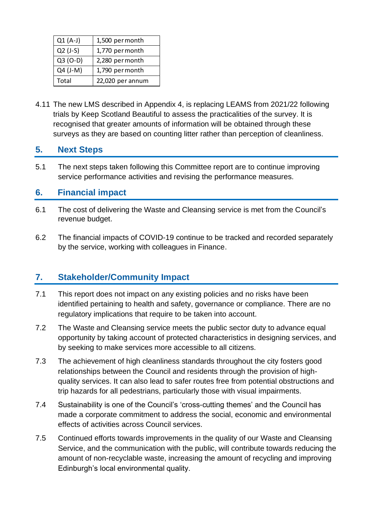| $Q1(A-J)$  | 1,500 per month  |
|------------|------------------|
| $Q2$ (J-S) | 1,770 per month  |
| $Q3 (O-D)$ | 2,280 per month  |
| Q4 (J-M)   | 1,790 per month  |
| Total      | 22,020 per annum |

4.11 The new LMS described in Appendix 4, is replacing LEAMS from 2021/22 following trials by Keep Scotland Beautiful to assess the practicalities of the survey. It is recognised that greater amounts of information will be obtained through these surveys as they are based on counting litter rather than perception of cleanliness.

# **5. Next Steps**

5.1 The next steps taken following this Committee report are to continue improving service performance activities and revising the performance measures.

# **6. Financial impact**

- 6.1 The cost of delivering the Waste and Cleansing service is met from the Council's revenue budget.
- 6.2 The financial impacts of COVID-19 continue to be tracked and recorded separately by the service, working with colleagues in Finance.

# **7. Stakeholder/Community Impact**

- 7.1 This report does not impact on any existing policies and no risks have been identified pertaining to health and safety, governance or compliance. There are no regulatory implications that require to be taken into account.
- 7.2 The Waste and Cleansing service meets the public sector duty to advance equal opportunity by taking account of protected characteristics in designing services, and by seeking to make services more accessible to all citizens.
- 7.3 The achievement of high cleanliness standards throughout the city fosters good relationships between the Council and residents through the provision of highquality services. It can also lead to safer routes free from potential obstructions and trip hazards for all pedestrians, particularly those with visual impairments.
- 7.4 Sustainability is one of the Council's 'cross-cutting themes' and the Council has made a corporate commitment to address the social, economic and environmental effects of activities across Council services.
- 7.5 Continued efforts towards improvements in the quality of our Waste and Cleansing Service, and the communication with the public, will contribute towards reducing the amount of non-recyclable waste, increasing the amount of recycling and improving Edinburgh's local environmental quality.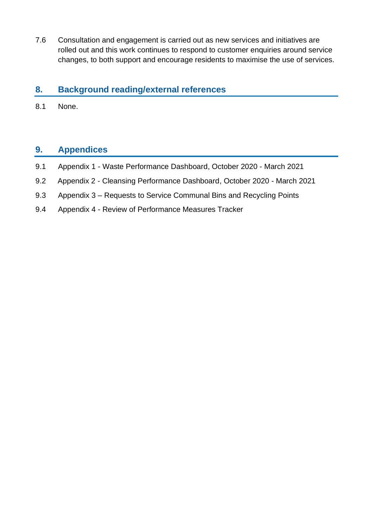7.6 Consultation and engagement is carried out as new services and initiatives are rolled out and this work continues to respond to customer enquiries around service changes, to both support and encourage residents to maximise the use of services.

## **8. Background reading/external references**

8.1 None.

# **9. Appendices**

- 9.1 Appendix 1 Waste Performance Dashboard, October 2020 March 2021
- 9.2 Appendix 2 Cleansing Performance Dashboard, October 2020 March 2021
- 9.3 Appendix 3 Requests to Service Communal Bins and Recycling Points
- 9.4 Appendix 4 Review of Performance Measures Tracker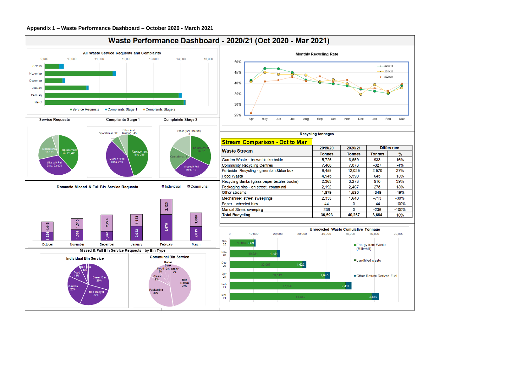

# Waste Performance Dashboard - 2020/21 (Oct 2020 - Mar 2021)



| 2019/20 | 2020/21       | <b>Difference</b> |     |
|---------|---------------|-------------------|-----|
| Tonnes  | <b>Tonnes</b> | <b>Tonnes</b>     |     |
| 5.726   | 6.659         | 933               | 10  |
| 7.400   | 7.073         | $-327$            | -4  |
| 9.455   | 12.025        | 2.570             | 2   |
| 4.945   | 5.590         | 645               | 1.  |
| 2.363   | 3.273         | 910               | 3   |
| 2.192   | 2.467         | 275               | 1.  |
| 1.879   | 1.530         | $-349$            | -1  |
| 2.353   | 1,640         | $-713$            | -3  |
| 44      | 0             | $-44$             | -10 |
| 236     | 0             | $-236$            | -10 |
| 36,593  | 40,257        | 3,664             | 1   |
|         |               |                   |     |

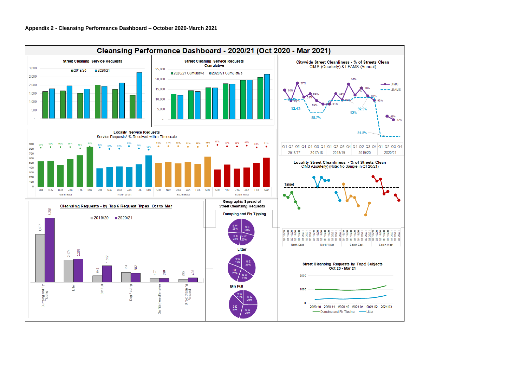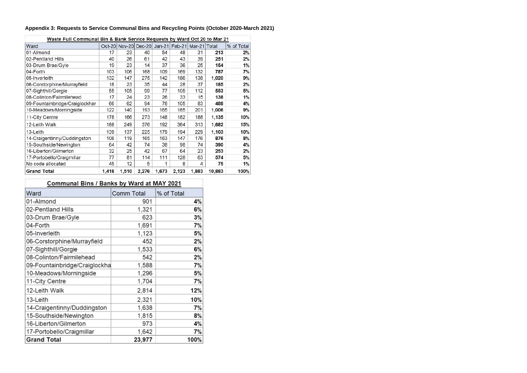| Waste Full Communal Bin & Bank Service Requests by Ward Oct 20 to Mar 21 |       |       |                      |       |                            |       |        |            |
|--------------------------------------------------------------------------|-------|-------|----------------------|-------|----------------------------|-------|--------|------------|
| Ward                                                                     |       |       | Oct-20 Nov-20 Dec-20 |       | Jan-21 Feb-21 Mar-21 Total |       |        | % of Total |
| 01-Almond                                                                | 17    | 23    | 40                   | 54    | 48                         | 31    | 213    | 2%         |
| 02-Pentland Hills                                                        | 40    | 26    | 61                   | 42    | 43                         | 39    | 251    | 2%         |
| 03-Drum Brae/Gyle                                                        | 19    | 23    | 14                   | 37    | 36                         | 25    | 154    | 1%         |
| 04-Forth                                                                 | 103   | 106   | 168                  | 109   | 169                        | 132   | 787    | 7%         |
| 05-Inverleith                                                            | 132   | 147   | 275                  | 142   | 186                        | 138   | 1,020  | 9%         |
| 06-Corstorphine/Murrayfield                                              | 18    | 23    | 35                   | 44    | 28                         | 37    | 185    | 2%         |
| 07-Sighthill/Gorgie                                                      | 55    | 105   | 99                   | 77    | 105                        | 112   | 553    | 5%         |
| 08-Colinton/Fairmilehead                                                 | 17    | 24    | 23                   | 26    | 33                         | 15    | 138    | 1%         |
| 09-Fountainbridge/Craiglockhar                                           | 66    | 62    | 94                   | 78    | 105                        | 83    | 488    | 4%         |
| 10-Meadows/Morningside                                                   | 122   | 140   | 193                  | 165   | 185                        | 201   | 1,006  | 9%         |
| 11-City Centre                                                           | 178   | 166   | 273                  | 148   | 182                        | 188   | 1,135  | 10%        |
| 12-Leith Walk                                                            | 188   | 249   | 376                  | 192   | 364                        | 313   | 1,682  | 15%        |
| 13-Leith                                                                 | 139   | 137   | 225                  | 179   | 194                        | 229   | 1,103  | 10%        |
| 14-Craigentinny/Duddingston                                              | 106   | 119   | 165                  | 163   | 147                        | 176   | 876    | 8%         |
| 15-Southside/Newington                                                   | 64    | 42    | 74                   | 38    | 98                         | 74    | 390    | 4%         |
| 16-Liberton/Gilmerton                                                    | 32    | 25    | 42                   | 67    | 64                         | 23    | 253    | 2%         |
| 17-Portobello/Craigmillar                                                | 77    | 81    | 114                  | 111   | 128                        | 63    | 574    | 5%         |
| No code allocated                                                        | 45    | 12    | 5                    | 1     | 8                          | 4     | 75     | 1%         |
| <b>Grand Total</b>                                                       | 1,418 | 1,510 | 2,276                | 1,673 | 2,123                      | 1,883 | 10,883 | 100%       |

# **Appendix 3: Requests to Service Communal Bins and Recycling Points (October 2020-March 2021)**

# Communal Bins / Banks by Ward at MAY 2021

| Ward                          | <b>Comm Total</b> | % of Total |
|-------------------------------|-------------------|------------|
| 01-Almond                     | 901               | 4%         |
| 02-Pentland Hills             | 1,321             | 6%         |
| 03-Drum Brae/Gyle             | 623               | 3%         |
| 04-Forth                      | 1,691             | 7%         |
| 05-Inverleith                 | 1,123             | 5%         |
| 06-Corstorphine/Murrayfield   | 452               | 2%         |
| 07-Sighthill/Gorgie           | 1,533             | 6%         |
| 08-Colinton/Fairmilehead      | 542               | 2%         |
| 09-Fountainbridge/Craiglockha | 1,588             | 7%         |
| 10-Meadows/Morningside        | 1,296             | 5%         |
| 11-City Centre                | 1,704             | 7%         |
| 12-Leith Walk                 | 2,814             | 12%        |
| 13-Leith                      | 2,321             | 10%        |
| 14-Craigentinny/Duddingston   | 1,638             | 7%         |
| 15-Southside/Newington        | 1,815             | 8%         |
| 16-Liberton/Gilmerton         | 973               | 4%         |
| 17-Portobello/Craigmillar     | 1,642             | 7%         |
| <b>Grand Total</b>            | 23,977            | 100%       |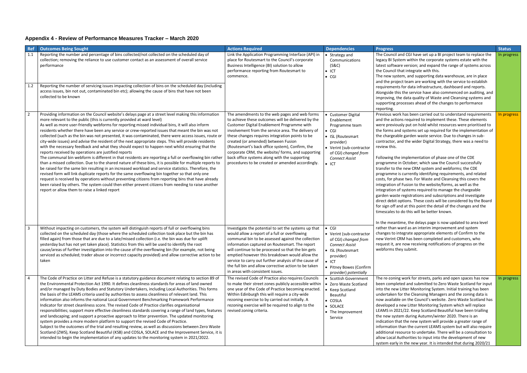# **Appendix 4 - Review of Performance Measures Tracker – March 2020**

| <b>Ref</b> | <b>Outcomes Being Sought</b>                                                                                                                                                                                                                                                                                                                                                                                                                                                                                                                                                                                                                                                                                                                                                                                                                                                                                                                                                                                                                                                                                                                                                                                                                                                                                                                                                                                                                                      | <b>Actions Required</b>                                                                                                                                                                                                                                                                                                                                                                                                                                                                                        | <b>Dependencies</b>                                                                                                                                                                             | <b>Progress</b>                                                                                                                                                                                                                                                                                                                                                                                                                                                                                                                                                                                                                                                                                                                                                                                                                                                                                                                                                                                                                                                                                                                    | <b>Status</b> |
|------------|-------------------------------------------------------------------------------------------------------------------------------------------------------------------------------------------------------------------------------------------------------------------------------------------------------------------------------------------------------------------------------------------------------------------------------------------------------------------------------------------------------------------------------------------------------------------------------------------------------------------------------------------------------------------------------------------------------------------------------------------------------------------------------------------------------------------------------------------------------------------------------------------------------------------------------------------------------------------------------------------------------------------------------------------------------------------------------------------------------------------------------------------------------------------------------------------------------------------------------------------------------------------------------------------------------------------------------------------------------------------------------------------------------------------------------------------------------------------|----------------------------------------------------------------------------------------------------------------------------------------------------------------------------------------------------------------------------------------------------------------------------------------------------------------------------------------------------------------------------------------------------------------------------------------------------------------------------------------------------------------|-------------------------------------------------------------------------------------------------------------------------------------------------------------------------------------------------|------------------------------------------------------------------------------------------------------------------------------------------------------------------------------------------------------------------------------------------------------------------------------------------------------------------------------------------------------------------------------------------------------------------------------------------------------------------------------------------------------------------------------------------------------------------------------------------------------------------------------------------------------------------------------------------------------------------------------------------------------------------------------------------------------------------------------------------------------------------------------------------------------------------------------------------------------------------------------------------------------------------------------------------------------------------------------------------------------------------------------------|---------------|
| 1.1<br>1.2 | Reporting the number and percentage of bins collected/not collected on the scheduled day of<br>collection; removing the reliance to use customer contact as an assessment of overall service<br>performance<br>Reporting the number of servicing issues impacting collection of bins on the scheduled day (including<br>access issues, bin not out, contaminated bin etc); allowing the cause of bins that have not been<br>collected to be known                                                                                                                                                                                                                                                                                                                                                                                                                                                                                                                                                                                                                                                                                                                                                                                                                                                                                                                                                                                                                 | Link the Application Programming Interface (API) in<br>place for Routesmart to the Council's corporate<br>Business Intelligence (BI) solution to allow<br>performance reporting from Routesmart to<br>commence.                                                                                                                                                                                                                                                                                                | • Strategy and<br>Communications<br>(S&C)<br>$\bullet$ ICT<br>$\bullet$ CGI                                                                                                                     | The Council and CGI have set up a BI project team to replace the<br>legacy BI System within the corporate systems estate with the<br>latest software version; and expand the range of systems across<br>the Council that integrate with this.<br>The new system, and supporting data warehouse, are in place<br>and the project team are working with the service to establish<br>requirements for data infrastructure, dashboard and reports.<br>Alongside this the service have also commenced on auditing, and<br>improving, the data quality of Waste and Cleansing systems and<br>supporting processes ahead of the changes to performance                                                                                                                                                                                                                                                                                                                                                                                                                                                                                    | In progress   |
|            | Providing information on the Council website's delays page at a street level making this information<br>more relevant to the public (this is currently provided at ward level)<br>As well as more user-friendly webforms for reporting missed individual bins, it will also inform<br>residents whether there have been any service or crew-reported issues that meant the bin was not<br>collected (such as the bin was not presented, it was contaminated, there were access issues, route or<br>city-wide issues) and advise the resident of the next appropriate steps. This will provide residents<br>with the necessary feedback and what they should expect to happen next whilst ensuring that the<br>reports received by operations are justified reports<br>The communal bin webform is different in that residents are reporting a full or overflowing bin rather<br>than a missed collection. Due to the shared nature of these bins, it is possible for multiple reports to<br>be raised for the same bin resulting in an increased workload and service statistics. Therefore, the<br>revised form will link duplicate reports for the same overflowing bin together so that only one<br>request is received by operations without preventing citizens from reporting bins that have already<br>been raised by others. The system could then either prevent citizens from needing to raise another<br>report or allow them to raise a linked report | The amendments to the web pages and web forms<br>to achieve these outcomes will be delivered by the<br>Customer Digital Enablement Programme with<br>involvement from the service area. The delivery of<br>these changes requires integration points to be<br>created (or amended) between Fusion<br>(Routesmart's back office system), Confirm, the<br>corporate CRM, the website/ forms, and supporting<br>back office systems along with the supporting<br>procedures to be created or amended accordingly. | <b>Customer Digital</b><br>Enablement<br>Programme team<br>$\bullet$ CGI<br>• ISL (Routesmart<br>provider)<br>• Verint (sub-contractor<br>of CGI) changed from<br><b>Connect Assist</b><br>lct  | reporting.<br>Previous work has been carried out to understand requirements<br>and the actions required to implement these. These elements<br>were previously put on hold whilst resources were prioritised to<br>the forms and systems set up required for the implementation of<br>the chargeable garden waste service. Due to changes in sub-<br>contractor, and the wider Digital Strategy, there was a need to<br>review this.<br>Following the implementation of phase one of the CDE<br>programme in October; which saw the Council successfully<br>transfer to the new CRM system and webforms; the CDE<br>programme is currently identifying requirements, and related<br>costs, for phase two. For Waste and Cleansing this covers the<br>integration of Fusion to the website/forms, as well as the<br>integration of systems required to manage the chargeable<br>garden waste registrations and subscriptions and investigate<br>direct debit options. These costs will be considered by the Board<br>for sign off and at this point the detail of the changes and the<br>timescales to do this will be better known. | In progress   |
|            | Without impacting on customers, the system will distinguish reports of full or overflowing bins<br>collected on the scheduled day (those where the scheduled collection took place but the bin has<br>filled again) from those that are due to a late/missed collection (i.e. the bin was due for uplift<br>yesterday but has not yet taken place). Statistics from this will be used to identify the root<br>cause/areas of further investigation into the cause of the overflowing bin (for example, not being<br>serviced as scheduled; trader abuse or incorrect capacity provided) and allow corrective action to be<br>taken                                                                                                                                                                                                                                                                                                                                                                                                                                                                                                                                                                                                                                                                                                                                                                                                                                | Investigate the potential to set the systems up that<br>would allow a report of a full or overflowing<br>communal bin to be assessed against the collection<br>information captured on Routesmart. The report<br>will continue to be processed so that the bin gets<br>emptied however this breakdown would allow the<br>service to carry out further analysis of the cause of<br>the full bin and allow corrective action to be taken<br>in areas with consistent issues.                                     | $\bullet$ CGI<br>• Verint (sub-contractor<br>of CGI) changed from<br><b>Connect Assist</b><br>ISL (Routesmart<br>provider)<br>$\bullet$ ICT<br>• Pitney Bowes (Confirm<br>provider) potentially | In the meantime, the delays page is now updated to area level<br>rather than ward as an interim improvement and system<br>changes to integrate appropriate elements of Confirm to the<br>new Verint CRM has been completed and customers, who<br>request it, are now receiving notifications of progress on the<br>webforms they submit.                                                                                                                                                                                                                                                                                                                                                                                                                                                                                                                                                                                                                                                                                                                                                                                           |               |
|            | The Code of Practice on Litter and Refuse is a statutory guidance document relating to section 89 of<br>the Environmental Protection Act 1990. It defines cleanliness standards for areas of land owned<br>and/or managed by Duty Bodies and Statutory Undertakers, including Local Authorities. This forms<br>the basis of the LEAMS criteria used by authorities to assess cleanliness of relevant land. This<br>information also informs the national Local Government Benchmarking Framework Performance<br>Indicator for street cleanliness score. The revised Code of Practice clarifies organisational<br>responsibilities; support more effective cleanliness standards covering a range of land types, features<br>and landscaping; and support a proactive approach to litter prevention. The updated monitoring<br>system provides a more modern platform to support the revised Code of Practice.<br>Subject to the outcomes of the trial and resulting review, as well as discussions between Zero Waste<br>Scotland (ZWS), Keep Scotland Beautiful (KSB) and COSLA, SOLACE and the Improvement Service, it is<br>intended to begin the implementation of any updates to the monitoring system in 2021/2022.                                                                                                                                                                                                                                         | The revised Code of Practice also requires Councils<br>to make their street zones publicly accessible within<br>one year of the Code of Practice becoming enacted.<br>Within Edinburgh this will require a city-wide<br>rezoning exercise to by carried out initially. A<br>rezoning exercise will be required to align to the<br>revised zoning criteria.                                                                                                                                                     | · Scottish Government<br>• Zero Waste Scotland<br>Keep Scotland<br>Beautiful<br>$\bullet$ COSLA<br>· SOLACE<br>• The Improvement<br>Service                                                     | The re-zoning work for streets, parks and open spaces has now<br>been completed and submitted to Zero Waste Scotland for input<br>into the new Litter Monitoring System. Initial training has been<br>undertaken for the Cleansing Managers and the zoning data is<br>now available on the Council's website. Zero Waste Scotland has<br>developed a new Litter Monitoring System which will replace<br>LEAMS in 2021/22. Keep Scotland Beautiful have been trialling<br>the new system during Autumn/winter 2020. There is an<br>indication that the new system will provide a greater range of<br>information than the current LEAMS system but will also require<br>additional resource to undertake. There will be a consultation to<br>allow Local Authorities to input into the development of new<br>system early in the new year. It is intended that during 2020/21                                                                                                                                                                                                                                                       | In progress   |